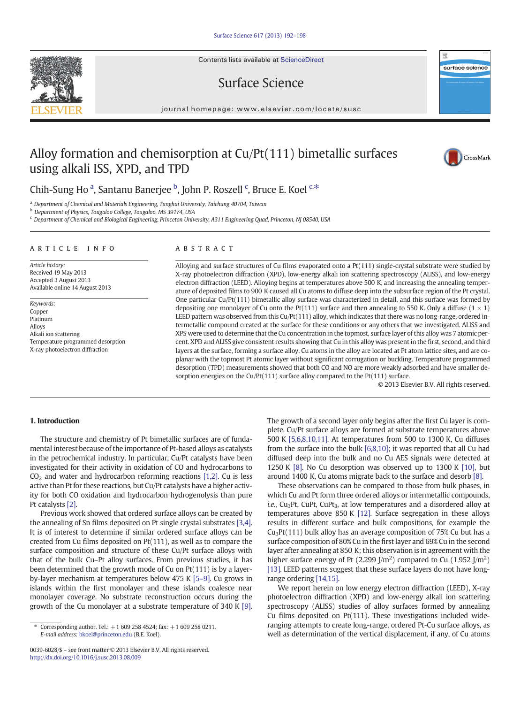Contents lists available at ScienceDirect

Surface Science



#### journal homepage: www.elsevier.com/locate/susc

# Alloy formation and chemisorption at Cu/Pt(111) bimetallic surfaces using alkali ISS, XPD, and TPD



## Chih-Sung Ho<sup>a</sup>, Santanu Banerjee <sup>b</sup>, John P. Roszell <sup>c</sup>, Bruce E. Koel <sup>c,\*</sup>

<sup>a</sup> Department of Chemical and Materials Engineering, Tunghai University, Taichung 40704, Taiwan

<sup>b</sup> Department of Physics, Tougaloo College, Tougaloo, MS 39174, USA

<sup>c</sup> Department of Chemical and Biological Engineering, Princeton University, A311 Engineering Quad, Princeton, NJ 08540, USA

#### ARTICLE INFO ABSTRACT

Article history: Received 19 May 2013 Accepted 3 August 2013 Available online 14 August 2013

Keywords: Copper Platinum Alloys Alkali ion scattering Temperature programmed desorption X-ray photoelectron diffraction

Alloying and surface structures of Cu films evaporated onto a Pt(111) single-crystal substrate were studied by X-ray photoelectron diffraction (XPD), low-energy alkali ion scattering spectroscopy (ALISS), and low-energy electron diffraction (LEED). Alloying begins at temperatures above 500 K, and increasing the annealing temperature of deposited films to 900 K caused all Cu atoms to diffuse deep into the subsurface region of the Pt crystal. One particular Cu/Pt(111) bimetallic alloy surface was characterized in detail, and this surface was formed by depositing one monolayer of Cu onto the Pt(111) surface and then annealing to 550 K. Only a diffuse ( $1 \times 1$ ) LEED pattern was observed from this Cu/Pt(111) alloy, which indicates that there was no long-range, ordered intermetallic compound created at the surface for these conditions or any others that we investigated. ALISS and XPS were used to determine that the Cu concentration in the topmost, surface layer of this alloy was 7 atomic percent. XPD and ALISS give consistent results showing that Cu in this alloy was present in the first, second, and third layers at the surface, forming a surface alloy. Cu atoms in the alloy are located at Pt atom lattice sites, and are coplanar with the topmost Pt atomic layer without significant corrugation or buckling. Temperature programmed desorption (TPD) measurements showed that both CO and NO are more weakly adsorbed and have smaller desorption energies on the Cu/Pt(111) surface alloy compared to the Pt(111) surface.

© 2013 Elsevier B.V. All rights reserved.

### 1. Introduction

The structure and chemistry of Pt bimetallic surfaces are of fundamental interest because of the importance of Pt-based alloys as catalysts in the petrochemical industry. In particular, Cu/Pt catalysts have been investigated for their activity in oxidation of CO and hydrocarbons to  $CO<sub>2</sub>$  and water and hydrocarbon reforming reactions [\[1,2\].](#page-6-0) Cu is less active than Pt for these reactions, but Cu/Pt catalysts have a higher activity for both CO oxidation and hydrocarbon hydrogenolysis than pure Pt catalysts [\[2\]](#page-6-0).

Previous work showed that ordered surface alloys can be created by the annealing of Sn films deposited on Pt single crystal substrates [\[3,4\].](#page-6-0) It is of interest to determine if similar ordered surface alloys can be created from Cu films deposited on Pt(111), as well as to compare the surface composition and structure of these Cu/Pt surface alloys with that of the bulk Cu–Pt alloy surfaces. From previous studies, it has been determined that the growth mode of Cu on Pt(111) is by a layerby-layer mechanism at temperatures below 475 K [5–[9\].](#page-6-0) Cu grows in islands within the first monolayer and these islands coalesce near monolayer coverage. No substrate reconstruction occurs during the growth of the Cu monolayer at a substrate temperature of 340 K [\[9\].](#page-6-0) The growth of a second layer only begins after the first Cu layer is complete. Cu/Pt surface alloys are formed at substrate temperatures above 500 K [\[5,6,8,10,11\]](#page-6-0). At temperatures from 500 to 1300 K, Cu diffuses from the surface into the bulk [\[6,8,10\]](#page-6-0); it was reported that all Cu had diffused deep into the bulk and no Cu AES signals were detected at 1250 K [\[8\].](#page-6-0) No Cu desorption was observed up to 1300 K [\[10\]](#page-6-0), but around 1400 K, Cu atoms migrate back to the surface and desorb [\[8\].](#page-6-0)

These observations can be compared to those from bulk phases, in which Cu and Pt form three ordered alloys or intermetallic compounds, i.e., Cu<sub>3</sub>Pt, CuPt, CuPt<sub>3</sub>, at low temperatures and a disordered alloy at temperatures above 850 K [\[12\].](#page-6-0) Surface segregation in these alloys results in different surface and bulk compositions, for example the  $Cu<sub>3</sub>Pt(111)$  bulk alloy has an average composition of 75% Cu but has a surface composition of 80% Cu in the first layer and 69% Cu in the second layer after annealing at 850 K; this observation is in agreement with the higher surface energy of Pt (2.299 J/m<sup>2</sup>) compared to Cu (1.952 J/m<sup>2</sup>) [\[13\]](#page-6-0). LEED patterns suggest that these surface layers do not have longrange ordering [\[14,15\]](#page-6-0).

We report herein on low energy electron diffraction (LEED), X-ray photoelectron diffraction (XPD) and low-energy alkali ion scattering spectroscopy (ALISS) studies of alloy surfaces formed by annealing Cu films deposited on Pt(111). These investigations included wideranging attempts to create long-range, ordered Pt-Cu surface alloys, as well as determination of the vertical displacement, if any, of Cu atoms

<sup>⁎</sup> Corresponding author. Tel.: +1 609 258 4524; fax: +1 609 258 0211. E-mail address: [bkoel@princeton.edu](mailto:bkoel@princeton.edu) (B.E. Koel).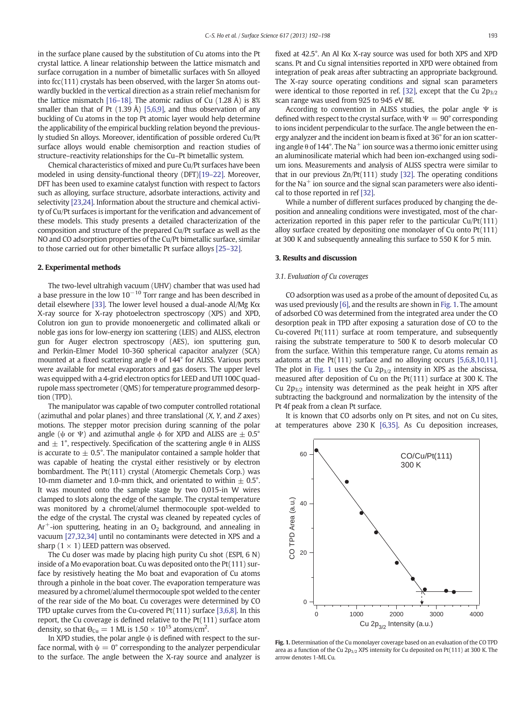<span id="page-1-0"></span>in the surface plane caused by the substitution of Cu atoms into the Pt crystal lattice. A linear relationship between the lattice mismatch and surface corrugation in a number of bimetallic surfaces with Sn alloyed into fcc(111) crystals has been observed, with the larger Sn atoms outwardly buckled in the vertical direction as a strain relief mechanism for the lattice mismatch [16–[18\].](#page-6-0) The atomic radius of Cu  $(1.28 \text{ Å})$  is 8% smaller than that of Pt  $(1.39 \text{ Å})$  [\[5,6,9\],](#page-6-0) and thus observation of any buckling of Cu atoms in the top Pt atomic layer would help determine the applicability of the empirical buckling relation beyond the previously studied Sn alloys. Moreover, identification of possible ordered Cu/Pt surface alloys would enable chemisorption and reaction studies of structure–reactivity relationships for the Cu–Pt bimetallic system.

Chemical characteristics of mixed and pure Cu/Pt surfaces have been modeled in using density-functional theory (DFT)[19–[22\]](#page-6-0). Moreover, DFT has been used to examine catalyst function with respect to factors such as alloying, surface structure, adsorbate interactions, activity and selectivity [\[23,24\]](#page-6-0). Information about the structure and chemical activity of Cu/Pt surfaces is important for the verification and advancement of these models. This study presents a detailed characterization of the composition and structure of the prepared Cu/Pt surface as well as the NO and CO adsorption properties of the Cu/Pt bimetallic surface, similar to those carried out for other bimetallic Pt surface alloys [\[25](#page-6-0)–32].

#### 2. Experimental methods

The two-level ultrahigh vacuum (UHV) chamber that was used had a base pressure in the low  $10^{-10}$  Torr range and has been described in detail elsewhere [\[33\]](#page-6-0). The lower level housed a dual-anode Al/Mg Kα X-ray source for X-ray photoelectron spectroscopy (XPS) and XPD, Colutron ion gun to provide monoenergetic and collimated alkali or noble gas ions for low-energy ion scattering (LEIS) and ALISS, electron gun for Auger electron spectroscopy (AES), ion sputtering gun, and Perkin-Elmer Model 10-360 spherical capacitor analyzer (SCA) mounted at a fixed scattering angle θ of 144° for ALISS. Various ports were available for metal evaporators and gas dosers. The upper level was equipped with a 4-grid electron optics for LEED and UTI 100C quadrupole mass spectrometer (QMS) for temperature programmed desorption (TPD).

The manipulator was capable of two computer controlled rotational (azimuthal and polar planes) and three translational (X, Y, and Z axes) motions. The stepper motor precision during scanning of the polar angle ( $\psi$  or  $\Psi$ ) and azimuthal angle  $\phi$  for XPD and ALISS are  $\pm$  0.5° and  $\pm$  1°, respectively. Specification of the scattering angle  $\theta$  in ALISS is accurate to  $\pm$  0.5°. The manipulator contained a sample holder that was capable of heating the crystal either resistively or by electron bombardment. The Pt(111) crystal (Atomergic Chemetals Corp.) was 10-mm diameter and 1.0-mm thick, and orientated to within  $\pm$  0.5°. It was mounted onto the sample stage by two 0.015-in W wires clamped to slots along the edge of the sample. The crystal temperature was monitored by a chromel/alumel thermocouple spot-welded to the edge of the crystal. The crystal was cleaned by repeated cycles of  $Ar<sup>+</sup>$ -ion sputtering, heating in an O<sub>2</sub> background, and annealing in vacuum [\[27,32,34\]](#page-6-0) until no contaminants were detected in XPS and a sharp  $(1 \times 1)$  LEED pattern was observed.

The Cu doser was made by placing high purity Cu shot (ESPI, 6 N) inside of a Mo evaporation boat. Cu was deposited onto the Pt(111) surface by resistively heating the Mo boat and evaporation of Cu atoms through a pinhole in the boat cover. The evaporation temperature was measured by a chromel/alumel thermocouple spot welded to the center of the rear side of the Mo boat. Cu coverages were determined by CO TPD uptake curves from the Cu-covered Pt(111) surface [\[3,6,8\].](#page-6-0) In this report, the Cu coverage is defined relative to the Pt(111) surface atom density, so that  $\Theta_{\rm Cu} = 1$  ML is  $1.50 \times 10^{15}$  atoms/cm<sup>2</sup>.

In XPD studies, the polar angle  $\psi$  is defined with respect to the surface normal, with  $\psi = 0^{\circ}$  corresponding to the analyzer perpendicular to the surface. The angle between the X-ray source and analyzer is fixed at 42.5°. An Al Kα X-ray source was used for both XPS and XPD scans. Pt and Cu signal intensities reported in XPD were obtained from integration of peak areas after subtracting an appropriate background. The X-ray source operating conditions and signal scan parameters were identical to those reported in ref. [\[32\],](#page-6-0) except that the Cu  $2p_{3/2}$ scan range was used from 925 to 945 eV BE.

According to convention in ALISS studies, the polar angle  $\Psi$  is defined with respect to the crystal surface, with  $\Psi = 90^\circ$  corresponding to ions incident perpendicular to the surface. The angle between the energy analyzer and the incident ion beam is fixed at 36° for an ion scattering angle  $\theta$  of 144°. The Na<sup>+</sup> ion source was a thermo ionic emitter using an aluminosilicate material which had been ion-exchanged using sodium ions. Measurements and analysis of ALISS spectra were similar to that in our previous Zn/Pt(111) study [\[32\]](#page-6-0). The operating conditions for the  $Na<sup>+</sup>$  ion source and the signal scan parameters were also identical to those reported in ref [\[32\]](#page-6-0).

While a number of different surfaces produced by changing the deposition and annealing conditions were investigated, most of the characterization reported in this paper refer to the particular Cu/Pt(111) alloy surface created by depositing one monolayer of Cu onto Pt(111) at 300 K and subsequently annealing this surface to 550 K for 5 min.

#### 3. Results and discussion

#### 3.1. Evaluation of Cu coverages

CO adsorption was used as a probe of the amount of deposited Cu, as was used previously [\[6\]](#page-6-0), and the results are shown in Fig. 1. The amount of adsorbed CO was determined from the integrated area under the CO desorption peak in TPD after exposing a saturation dose of CO to the Cu-covered Pt(111) surface at room temperature, and subsequently raising the substrate temperature to 500 K to desorb molecular CO from the surface. Within this temperature range, Cu atoms remain as adatoms at the Pt(111) surface and no alloying occurs [\[5,6,8,10,11\].](#page-6-0) The plot in Fig. 1 uses the Cu  $2p_{3/2}$  intensity in XPS as the abscissa, measured after deposition of Cu on the Pt(111) surface at 300 K. The Cu  $2p_{3/2}$  intensity was determined as the peak height in XPS after subtracting the background and normalization by the intensity of the Pt 4f peak from a clean Pt surface.

It is known that CO adsorbs only on Pt sites, and not on Cu sites, at temperatures above 230 K [\[6,35\]](#page-6-0). As Cu deposition increases,



Fig. 1. Determination of the Cu monolayer coverage based on an evaluation of the CO TPD area as a function of the Cu  $2p_{3/2}$  XPS intensity for Cu deposited on Pt(111) at 300 K. The arrow denotes 1-ML Cu.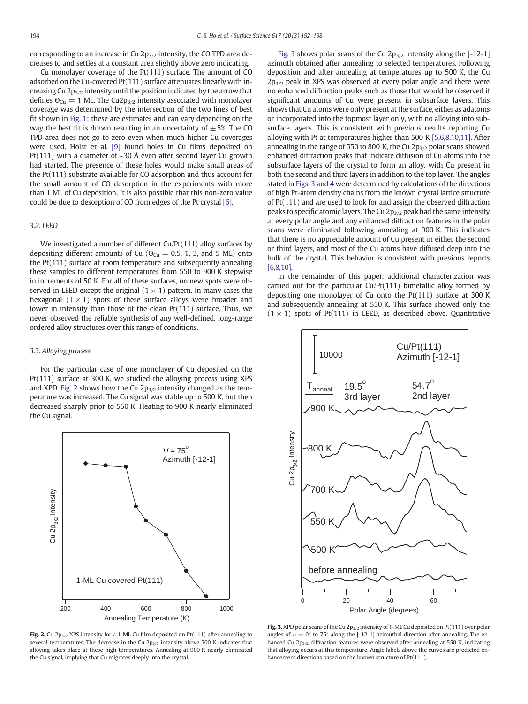corresponding to an increase in Cu  $2p_{3/2}$  intensity, the CO TPD area decreases to and settles at a constant area slightly above zero indicating.

Cu monolayer coverage of the Pt(111) surface. The amount of CO adsorbed on the Cu-covered Pt(111) surface attenuates linearly with increasing Cu  $2p_{3/2}$  intensity until the position indicated by the arrow that defines  $\Theta_{Cu} = 1$  ML. The Cu2p<sub>3/2</sub> intensity associated with monolayer coverage was determined by the intersection of the two lines of best fit shown in [Fig. 1;](#page-1-0) these are estimates and can vary depending on the way the best fit is drawn resulting in an uncertainty of  $\pm$  5%. The CO TPD area does not go to zero even when much higher Cu coverages were used. Holst et al. [\[9\]](#page-6-0) found holes in Cu films deposited on Pt(111) with a diameter of  $\sim$ 30 Å even after second layer Cu growth had started. The presence of these holes would make small areas of the Pt(111) substrate available for CO adsorption and thus account for the small amount of CO desorption in the experiments with more than 1 ML of Cu deposition. It is also possible that this non-zero value could be due to desorption of CO from edges of the Pt crystal [\[6\].](#page-6-0)

### 3.2. LEED

We investigated a number of different Cu/Pt(111) alloy surfaces by depositing different amounts of Cu ( $\Theta_{Cu} = 0.5$ , 1, 3, and 5 ML) onto the Pt(111) surface at room temperature and subsequently annealing these samples to different temperatures from 550 to 900 K stepwise in increments of 50 K. For all of these surfaces, no new spots were observed in LEED except the original  $(1 \times 1)$  pattern. In many cases the hexagonal  $(1 \times 1)$  spots of these surface alloys were broader and lower in intensity than those of the clean Pt(111) surface. Thus, we never observed the reliable synthesis of any well-defined, long-range ordered alloy structures over this range of conditions.

#### 3.3. Alloying process

For the particular case of one monolayer of Cu deposited on the Pt(111) surface at 300 K, we studied the alloying process using XPS and XPD. Fig. 2 shows how the Cu  $2p_{3/2}$  intensity changed as the temperature was increased. The Cu signal was stable up to 500 K, but then decreased sharply prior to 550 K. Heating to 900 K nearly eliminated the Cu signal.



Fig. 2. Cu 2 $p_{3/2}$  XPS intensity for a 1-ML Cu film deposited on Pt(111) after annealing to several temperatures. The decrease in the Cu  $2p_{3/2}$  intensity above 500 K indicates that alloying takes place at these high temperatures. Annealing at 900 K nearly eliminated the Cu signal, implying that Cu migrates deeply into the crystal.

Fig. 3 shows polar scans of the Cu  $2p_{3/2}$  intensity along the [-12-1] azimuth obtained after annealing to selected temperatures. Following deposition and after annealing at temperatures up to 500 K, the Cu  $2p_{3/2}$  peak in XPS was observed at every polar angle and there were no enhanced diffraction peaks such as those that would be observed if significant amounts of Cu were present in subsurface layers. This shows that Cu atoms were only present at the surface, either as adatoms or incorporated into the topmost layer only, with no alloying into subsurface layers. This is consistent with previous results reporting Cu alloying with Pt at temperatures higher than 500 K [\[5,6,8,10,11\].](#page-6-0) After annealing in the range of 550 to 800 K, the Cu  $2p_{3/2}$  polar scans showed enhanced diffraction peaks that indicate diffusion of Cu atoms into the subsurface layers of the crystal to form an alloy, with Cu present in both the second and third layers in addition to the top layer. The angles stated in Figs. 3 and 4 were determined by calculations of the directions of high Pt-atom density chains from the known crystal lattice structure of Pt(111) and are used to look for and assign the observed diffraction peaks to specific atomic layers. The Cu  $2p_{3/2}$  peak had the same intensity at every polar angle and any enhanced diffraction features in the polar scans were eliminated following annealing at 900 K. This indicates that there is no appreciable amount of Cu present in either the second or third layers, and most of the Cu atoms have diffused deep into the bulk of the crystal. This behavior is consistent with previous reports [\[6,8,10\]](#page-6-0).

In the remainder of this paper, additional characterization was carried out for the particular Cu/Pt(111) bimetallic alloy formed by depositing one monolayer of Cu onto the Pt(111) surface at 300 K and subsequently annealing at 550 K. This surface showed only the  $(1 \times 1)$  spots of Pt $(111)$  in LEED, as described above. Quantitative



Fig. 3. XPD polar scans of the Cu  $2p_{3/2}$  intensity of 1-ML Cu deposited on Pt(111) over polar angles of  $\psi = 0^{\circ}$  to 75° along the [-12-1] azimuthal direction after annealing. The enhanced Cu  $2p_{3/2}$  diffraction features were observed after annealing at 550 K, indicating that alloying occurs at this temperature. Angle labels above the curves are predicted enhancement directions based on the known structure of Pt(111).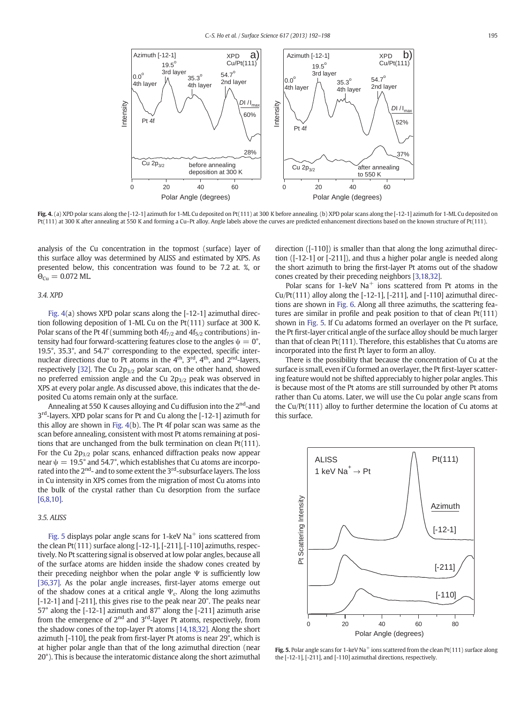<span id="page-3-0"></span>

Fig. 4. (a) XPD polar scans along the [-12-1] azimuth for 1-ML Cu deposited on Pt(111) at 300 K before annealing. (b) XPD polar scans along the [-12-1] azimuth for 1-ML Cu deposited on Pt(111) at 300 K after annealing at 550 K and forming a Cu–Pt alloy. Angle labels above the curves are predicted enhancement directions based on the known structure of Pt(111).

analysis of the Cu concentration in the topmost (surface) layer of this surface alloy was determined by ALISS and estimated by XPS. As presented below, this concentration was found to be 7.2 at. %, or  $\Theta_{\text{Cu}} = 0.072 \text{ ML}$ .

#### 3.4. XPD

Fig. 4(a) shows XPD polar scans along the [-12-1] azimuthal direction following deposition of 1-ML Cu on the Pt(111) surface at 300 K. Polar scans of the Pt 4f (summing both  $4f_{7/2}$  and  $4f_{5/2}$  contributions) intensity had four forward-scattering features close to the angles  $\psi = 0^{\circ}$ , 19.5°, 35.3°, and 54.7° corresponding to the expected, specific internuclear directions due to Pt atoms in the  $4<sup>th</sup>$ ,  $3<sup>rd</sup>$ ,  $4<sup>th</sup>$ , and  $2<sup>nd</sup>$ -layers, respectively [\[32\]](#page-6-0). The Cu  $2p_{3/2}$  polar scan, on the other hand, showed no preferred emission angle and the Cu  $2p_{3/2}$  peak was observed in XPS at every polar angle. As discussed above, this indicates that the deposited Cu atoms remain only at the surface.

Annealing at 550 K causes alloving and Cu diffusion into the 2<sup>nd</sup>-and 3<sup>rd</sup>-layers. XPD polar scans for Pt and Cu along the [-12-1] azimuth for this alloy are shown in Fig. 4(b). The Pt 4f polar scan was same as the scan before annealing, consistent with most Pt atoms remaining at positions that are unchanged from the bulk termination on clean Pt(111). For the Cu  $2p_{3/2}$  polar scans, enhanced diffraction peaks now appear near  $\psi = 19.5^{\circ}$  and 54.7°, which establishes that Cu atoms are incorporated into the 2<sup>nd</sup>- and to some extent the 3<sup>rd</sup>-subsurface layers. The loss in Cu intensity in XPS comes from the migration of most Cu atoms into the bulk of the crystal rather than Cu desorption from the surface [\[6,8,10\]](#page-6-0).

### 3.5. ALISS

Fig. 5 displays polar angle scans for 1-keV  $Na<sup>+</sup>$  ions scattered from the clean Pt(111) surface along [-12-1], [-211], [-110] azimuths, respectively. No Pt scattering signal is observed at low polar angles, because all of the surface atoms are hidden inside the shadow cones created by their preceding neighbor when the polar angle  $\Psi$  is sufficiently low [\[36,37\]](#page-6-0). As the polar angle increases, first-layer atoms emerge out of the shadow cones at a critical angle  $\Psi_c$ . Along the long azimuths [-12-1] and [-211], this gives rise to the peak near 20°. The peaks near 57° along the [-12-1] azimuth and 87° along the [-211] azimuth arise from the emergence of  $2^{nd}$  and  $3^{rd}$ -layer Pt atoms, respectively, from the shadow cones of the top-layer Pt atoms [\[14,18,32\].](#page-6-0) Along the short azimuth [-110], the peak from first-layer Pt atoms is near 29°, which is at higher polar angle than that of the long azimuthal direction (near 20°). This is because the interatomic distance along the short azimuthal direction ([-110]) is smaller than that along the long azimuthal direction ([-12-1] or [-211]), and thus a higher polar angle is needed along the short azimuth to bring the first-layer Pt atoms out of the shadow cones created by their preceding neighbors [\[3,18,32\].](#page-6-0)

Polar scans for 1-keV  $Na<sup>+</sup>$  ions scattered from Pt atoms in the Cu/Pt(111) alloy along the  $[-12-1]$ ,  $[-211]$ , and  $[-110]$  azimuthal directions are shown in [Fig. 6](#page-4-0). Along all three azimuths, the scattering features are similar in profile and peak position to that of clean Pt(111) shown in Fig. 5. If Cu adatoms formed an overlayer on the Pt surface, the Pt first-layer critical angle of the surface alloy should be much larger than that of clean Pt(111). Therefore, this establishes that Cu atoms are incorporated into the first Pt layer to form an alloy.

There is the possibility that because the concentration of Cu at the surface is small, even if Cu formed an overlayer, the Pt first-layer scattering feature would not be shifted appreciably to higher polar angles. This is because most of the Pt atoms are still surrounded by other Pt atoms rather than Cu atoms. Later, we will use the Cu polar angle scans from the Cu/Pt(111) alloy to further determine the location of Cu atoms at this surface.



Fig. 5. Polar angle scans for 1-keV Na<sup>+</sup> ions scattered from the clean Pt(111) surface along the [-12-1], [-211], and [-110] azimuthal directions, respectively.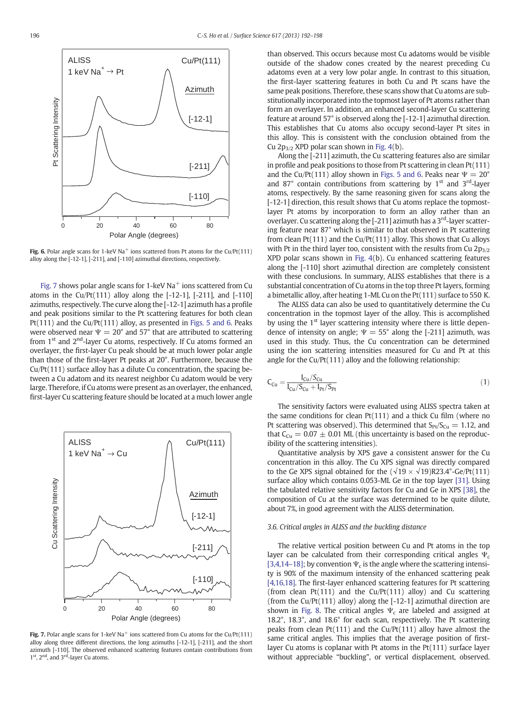<span id="page-4-0"></span>

Fig. 6. Polar angle scans for 1-keV Na<sup>+</sup> ions scattered from Pt atoms for the Cu/Pt(111) alloy along the [-12-1], [-211], and [-110] azimuthal directions, respectively.

Fig. 7 shows polar angle scans for 1-keV  $\text{Na}^+$  ions scattered from Cu atoms in the Cu/Pt $(111)$  alloy along the  $[-12-1]$ ,  $[-211]$ , and  $[-110]$ azimuths, respectively. The curve along the [-12-1] azimuth has a profile and peak positions similar to the Pt scattering features for both clean Pt(111) and the Cu/Pt(111) alloy, as presented in [Figs. 5 and 6](#page-3-0). Peaks were observed near  $\Psi = 20^{\circ}$  and 57° that are attributed to scattering from 1<sup>st</sup> and 2<sup>nd</sup>-layer Cu atoms, respectively. If Cu atoms formed an overlayer, the first-layer Cu peak should be at much lower polar angle than those of the first-layer Pt peaks at 20°. Furthermore, because the Cu/Pt(111) surface alloy has a dilute Cu concentration, the spacing between a Cu adatom and its nearest neighbor Cu adatom would be very large. Therefore, if Cu atoms were present as an overlayer, the enhanced, first-layer Cu scattering feature should be located at a much lower angle



Fig. 7. Polar angle scans for 1-keV  $\text{Na}^+$  ions scattered from Cu atoms for the Cu/Pt(111) alloy along three different directions, the long azimuths [-12-1], [-211], and the short azimuth [-110]. The observed enhanced scattering features contain contributions from 1<sup>st</sup>, 2<sup>nd</sup>, and 3<sup>rd</sup>-layer Cu atoms.

than observed. This occurs because most Cu adatoms would be visible outside of the shadow cones created by the nearest preceding Cu adatoms even at a very low polar angle. In contrast to this situation, the first-layer scattering features in both Cu and Pt scans have the same peak positions. Therefore, these scans show that Cu atoms are substitutionally incorporated into the topmost layer of Pt atoms rather than form an overlayer. In addition, an enhanced second-layer Cu scattering feature at around 57° is observed along the [-12-1] azimuthal direction. This establishes that Cu atoms also occupy second-layer Pt sites in this alloy. This is consistent with the conclusion obtained from the Cu  $2p_{3/2}$  XPD polar scan shown in [Fig. 4](#page-3-0)(b).

Along the [-211] azimuth, the Cu scattering features also are similar in profile and peak positions to those from Pt scattering in clean Pt(111) and the Cu/Pt(111) alloy shown in [Figs. 5 and 6](#page-3-0). Peaks near  $\Psi = 20^{\circ}$ and 87 $^{\circ}$  contain contributions from scattering by 1 $^{\text{st}}$  and 3 $^{\text{rd}}$ -layer atoms, respectively. By the same reasoning given for scans along the [-12-1] direction, this result shows that Cu atoms replace the topmostlayer Pt atoms by incorporation to form an alloy rather than an overlayer. Cu scattering along the  $[-211]$  azimuth has a  $3<sup>rd</sup>$ -layer scattering feature near 87° which is similar to that observed in Pt scattering from clean Pt(111) and the Cu/Pt(111) alloy. This shows that Cu alloys with Pt in the third layer too, consistent with the results from Cu  $2p_{3/2}$ XPD polar scans shown in [Fig. 4](#page-3-0)(b). Cu enhanced scattering features along the [-110] short azimuthal direction are completely consistent with these conclusions. In summary, ALISS establishes that there is a substantial concentration of Cu atoms in the top three Pt layers, forming a bimetallic alloy, after heating 1-ML Cu on the Pt(111) surface to 550 K.

The ALISS data can also be used to quantitatively determine the Cu concentration in the topmost layer of the alloy. This is accomplished by using the 1<sup>st</sup> layer scattering intensity where there is little dependence of intensity on angle;  $\Psi = 55^{\circ}$  along the [-211] azimuth, was used in this study. Thus, the Cu concentration can be determined using the ion scattering intensities measured for Cu and Pt at this angle for the Cu/Pt(111) alloy and the following relationship:

$$
C_{Cu} = \frac{I_{Cu}/S_{Cu}}{I_{Cu}/S_{Cu} + I_{Pt}/S_{Pt}}
$$
(1)

The sensitivity factors were evaluated using ALISS spectra taken at the same conditions for clean Pt(111) and a thick Cu film (where no Pt scattering was observed). This determined that  $S_{Pt}/S_{Cu} = 1.12$ , and that  $C_{Cu} = 0.07 \pm 0.01$  ML (this uncertainty is based on the reproducibility of the scattering intensities).

Quantitative analysis by XPS gave a consistent answer for the Cu concentration in this alloy. The Cu XPS signal was directly compared to the Ge XPS signal obtained for the  $(\sqrt{19} \times \sqrt{19})R23.4^{\circ}$ -Ge/Pt(111) surface alloy which contains 0.053-ML Ge in the top layer [\[31\]](#page-6-0). Using the tabulated relative sensitivity factors for Cu and Ge in XPS [\[38\],](#page-6-0) the composition of Cu at the surface was determined to be quite dilute, about 7%, in good agreement with the ALISS determination.

#### 3.6. Critical angles in ALISS and the buckling distance

The relative vertical position between Cu and Pt atoms in the top layer can be calculated from their corresponding critical angles  $\Psi_c$ [\[3,4,14](#page-6-0)–18]; by convention  $\Psi_c$  is the angle where the scattering intensity is 90% of the maximum intensity of the enhanced scattering peak [\[4,16,18\].](#page-6-0) The first-layer enhanced scattering features for Pt scattering (from clean Pt(111) and the Cu/Pt(111) alloy) and Cu scattering (from the Cu/Pt(111) alloy) along the [-12-1] azimuthal direction are shown in [Fig. 8](#page-5-0). The critical angles  $\Psi_c$  are labeled and assigned at 18.2°, 18.3°, and 18.6° for each scan, respectively. The Pt scattering peaks from clean Pt(111) and the Cu/Pt(111) alloy have almost the same critical angles. This implies that the average position of firstlayer Cu atoms is coplanar with Pt atoms in the Pt(111) surface layer without appreciable "buckling", or vertical displacement, observed.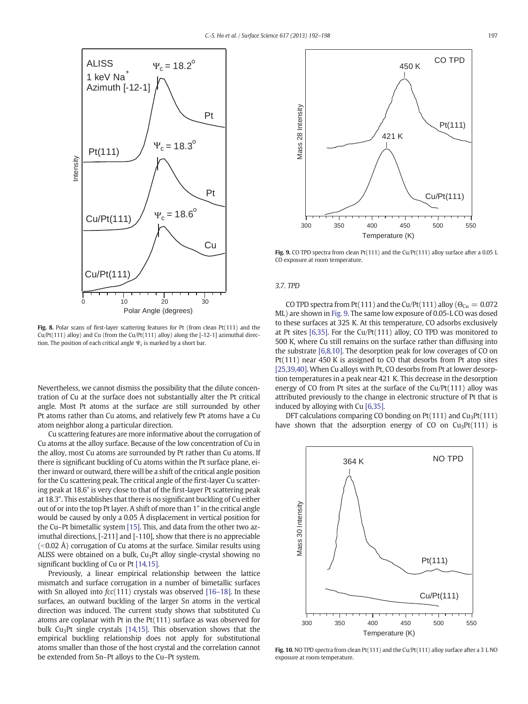<span id="page-5-0"></span>

Fig. 8. Polar scans of first-layer scattering features for Pt (from clean Pt(111) and the Cu/Pt(111) alloy) and Cu (from the Cu/Pt(111) alloy) along the  $[-12-1]$  azimuthal direction. The position of each critical angle  $\Psi_c$  is marked by a short bar.

Nevertheless, we cannot dismiss the possibility that the dilute concentration of Cu at the surface does not substantially alter the Pt critical angle. Most Pt atoms at the surface are still surrounded by other Pt atoms rather than Cu atoms, and relatively few Pt atoms have a Cu atom neighbor along a particular direction.

Cu scattering features are more informative about the corrugation of Cu atoms at the alloy surface. Because of the low concentration of Cu in the alloy, most Cu atoms are surrounded by Pt rather than Cu atoms. If there is significant buckling of Cu atoms within the Pt surface plane, either inward or outward, there will be a shift of the critical angle position for the Cu scattering peak. The critical angle of the first-layer Cu scattering peak at 18.6° is very close to that of the first-layer Pt scattering peak at 18.3°. This establishes that there is no significant buckling of Cu either out of or into the top Pt layer. A shift of more than 1° in the critical angle would be caused by only a 0.05 Å displacement in vertical position for the Cu–Pt bimetallic system [\[15\].](#page-6-0) This, and data from the other two azimuthal directions, [-211] and [-110], show that there is no appreciable  $(<$ 0.02 Å) corrugation of Cu atoms at the surface. Similar results using ALISS were obtained on a bulk, Cu<sub>3</sub>Pt alloy single-crystal showing no significant buckling of Cu or Pt [\[14,15\]](#page-6-0).

Previously, a linear empirical relationship between the lattice mismatch and surface corrugation in a number of bimetallic surfaces with Sn alloyed into  $fcc(111)$  crystals was observed [\[16](#page-6-0)-18]. In these surfaces, an outward buckling of the larger Sn atoms in the vertical direction was induced. The current study shows that substituted Cu atoms are coplanar with Pt in the Pt(111) surface as was observed for bulk Cu3Pt single crystals [\[14,15\].](#page-6-0) This observation shows that the empirical buckling relationship does not apply for substitutional atoms smaller than those of the host crystal and the correlation cannot be extended from Sn–Pt alloys to the Cu–Pt system.



Fig. 9. CO TPD spectra from clean Pt(111) and the Cu/Pt(111) alloy surface after a 0.05 L CO exposure at room temperature.

#### 3.7. TPD

CO TPD spectra from Pt(111) and the Cu/Pt(111) alloy ( $\Theta_{Cu} = 0.072$ ML) are shown in Fig. 9. The same low exposure of 0.05-L CO was dosed to these surfaces at 325 K. At this temperature, CO adsorbs exclusively at Pt sites [\[6,35\]](#page-6-0). For the Cu/Pt(111) alloy, CO TPD was monitored to 500 K, where Cu still remains on the surface rather than diffusing into the substrate [\[6,8,10\]](#page-6-0). The desorption peak for low coverages of CO on Pt(111) near 450 K is assigned to CO that desorbs from Pt atop sites [\[25,39,40\]](#page-6-0). When Cu alloys with Pt, CO desorbs from Pt at lower desorption temperatures in a peak near 421 K. This decrease in the desorption energy of CO from Pt sites at the surface of the Cu/Pt(111) alloy was attributed previously to the change in electronic structure of Pt that is induced by alloying with Cu [\[6,35\].](#page-6-0)

DFT calculations comparing CO bonding on  $Pt(111)$  and  $Cu<sub>3</sub>Pt(111)$ have shown that the adsorption energy of CO on  $Cu<sub>3</sub>Pt(111)$  is



Fig. 10. NO TPD spectra from clean Pt(111) and the Cu/Pt(111) alloy surface after a 3 L NO exposure at room temperature.